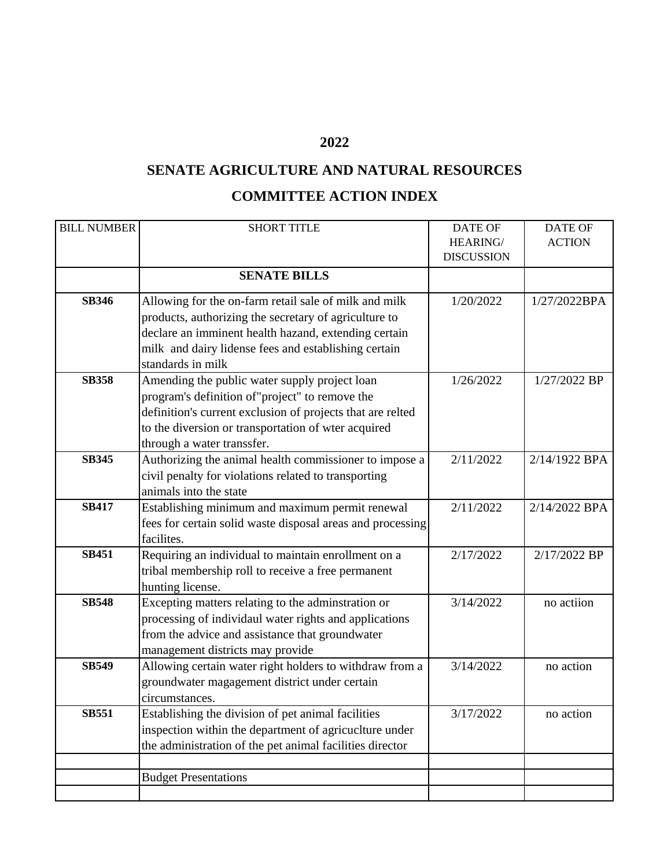## **2022**

## **SENATE AGRICULTURE AND NATURAL RESOURCES COMMITTEE ACTION INDEX**

| <b>BILL NUMBER</b> | <b>SHORT TITLE</b>                                         | <b>DATE OF</b>    | <b>DATE OF</b> |
|--------------------|------------------------------------------------------------|-------------------|----------------|
|                    |                                                            | HEARING/          | <b>ACTION</b>  |
|                    |                                                            | <b>DISCUSSION</b> |                |
|                    | <b>SENATE BILLS</b>                                        |                   |                |
| <b>SB346</b>       | Allowing for the on-farm retail sale of milk and milk      | 1/20/2022         | 1/27/2022BPA   |
|                    | products, authorizing the secretary of agriculture to      |                   |                |
|                    | declare an imminent health hazand, extending certain       |                   |                |
|                    | milk and dairy lidense fees and establishing certain       |                   |                |
|                    | standards in milk                                          |                   |                |
| <b>SB358</b>       | Amending the public water supply project loan              | 1/26/2022         | 1/27/2022 BP   |
|                    | program's definition of "project" to remove the            |                   |                |
|                    | definition's current exclusion of projects that are relted |                   |                |
|                    | to the diversion or transportation of wter acquired        |                   |                |
|                    | through a water transsfer.                                 |                   |                |
| <b>SB345</b>       | Authorizing the animal health commissioner to impose a     | 2/11/2022         | 2/14/1922 BPA  |
|                    | civil penalty for violations related to transporting       |                   |                |
|                    | animals into the state                                     |                   |                |
| <b>SB417</b>       | Establishing minimum and maximum permit renewal            | 2/11/2022         | 2/14/2022 BPA  |
|                    | fees for certain solid waste disposal areas and processing |                   |                |
|                    | facilites.                                                 |                   |                |
| <b>SB451</b>       | Requiring an individual to maintain enrollment on a        | 2/17/2022         | 2/17/2022 BP   |
|                    | tribal membership roll to receive a free permanent         |                   |                |
|                    | hunting license.                                           |                   |                |
| <b>SB548</b>       | Excepting matters relating to the adminstration or         | 3/14/2022         | no actiion     |
|                    | processing of individaul water rights and applications     |                   |                |
|                    | from the advice and assistance that groundwater            |                   |                |
|                    | management districts may provide                           |                   |                |
| <b>SB549</b>       | Allowing certain water right holders to withdraw from a    | 3/14/2022         | no action      |
|                    | groundwater magagement district under certain              |                   |                |
|                    | circumstances.                                             |                   |                |
| <b>SB551</b>       | Establishing the division of pet animal facilities         | 3/17/2022         | no action      |
|                    | inspection within the department of agricuclture under     |                   |                |
|                    | the administration of the pet animal facilities director   |                   |                |
|                    |                                                            |                   |                |
|                    | <b>Budget Presentations</b>                                |                   |                |
|                    |                                                            |                   |                |